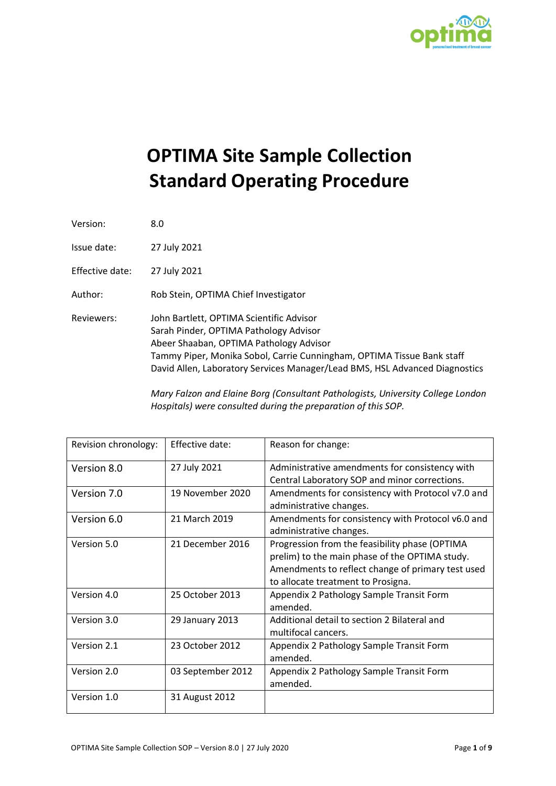

# **OPTIMA Site Sample Collection Standard Operating Procedure**

| Version:        | 8.0                                                                                                                                                                                                                                                                                    |
|-----------------|----------------------------------------------------------------------------------------------------------------------------------------------------------------------------------------------------------------------------------------------------------------------------------------|
| Issue date:     | 27 July 2021                                                                                                                                                                                                                                                                           |
| Effective date: | 27 July 2021                                                                                                                                                                                                                                                                           |
| Author:         | Rob Stein, OPTIMA Chief Investigator                                                                                                                                                                                                                                                   |
| Reviewers:      | John Bartlett, OPTIMA Scientific Advisor<br>Sarah Pinder, OPTIMA Pathology Advisor<br>Abeer Shaaban, OPTIMA Pathology Advisor<br>Tammy Piper, Monika Sobol, Carrie Cunningham, OPTIMA Tissue Bank staff<br>David Allen, Laboratory Services Manager/Lead BMS, HSL Advanced Diagnostics |

*Mary Falzon and Elaine Borg (Consultant Pathologists, University College London Hospitals) were consulted during the preparation of this SOP.*

| Revision chronology: | Effective date:   | Reason for change:                                |
|----------------------|-------------------|---------------------------------------------------|
| Version 8.0          | 27 July 2021      | Administrative amendments for consistency with    |
|                      |                   | Central Laboratory SOP and minor corrections.     |
| Version 7.0          | 19 November 2020  | Amendments for consistency with Protocol v7.0 and |
|                      |                   | administrative changes.                           |
| Version 6.0          | 21 March 2019     | Amendments for consistency with Protocol v6.0 and |
|                      |                   | administrative changes.                           |
| Version 5.0          | 21 December 2016  | Progression from the feasibility phase (OPTIMA    |
|                      |                   | prelim) to the main phase of the OPTIMA study.    |
|                      |                   | Amendments to reflect change of primary test used |
|                      |                   | to allocate treatment to Prosigna.                |
| Version 4.0          | 25 October 2013   | Appendix 2 Pathology Sample Transit Form          |
|                      |                   | amended.                                          |
| Version 3.0          | 29 January 2013   | Additional detail to section 2 Bilateral and      |
|                      |                   | multifocal cancers.                               |
| Version 2.1          | 23 October 2012   | Appendix 2 Pathology Sample Transit Form          |
|                      |                   | amended.                                          |
| Version 2.0          | 03 September 2012 | Appendix 2 Pathology Sample Transit Form          |
|                      |                   | amended.                                          |
| Version 1.0          | 31 August 2012    |                                                   |
|                      |                   |                                                   |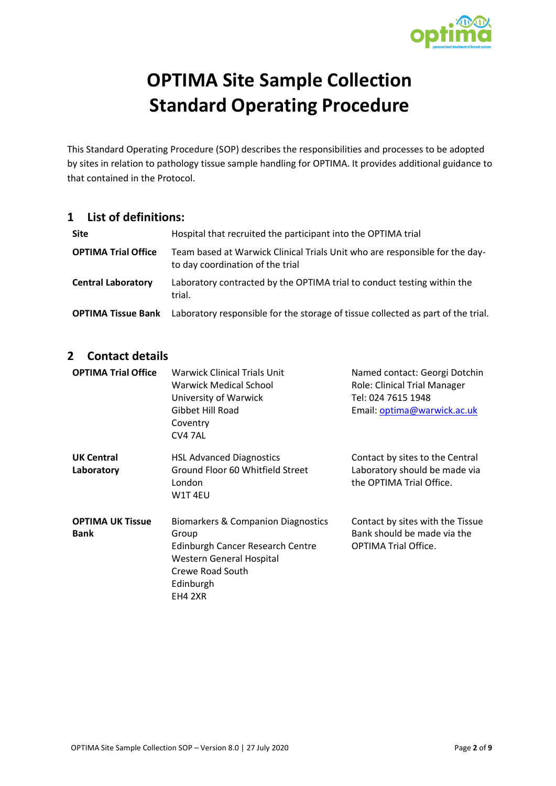

# **OPTIMA Site Sample Collection Standard Operating Procedure**

This Standard Operating Procedure (SOP) describes the responsibilities and processes to be adopted by sites in relation to pathology tissue sample handling for OPTIMA. It provides additional guidance to that contained in the Protocol.

#### **1 List of definitions:**

| <b>Site</b>                | Hospital that recruited the participant into the OPTIMA trial                                                   |
|----------------------------|-----------------------------------------------------------------------------------------------------------------|
| <b>OPTIMA Trial Office</b> | Team based at Warwick Clinical Trials Unit who are responsible for the day-<br>to day coordination of the trial |
| <b>Central Laboratory</b>  | Laboratory contracted by the OPTIMA trial to conduct testing within the<br>trial.                               |
| <b>OPTIMA Tissue Bank</b>  | Laboratory responsible for the storage of tissue collected as part of the trial.                                |

## **2 Contact details**

| <b>OPTIMA Trial Office</b>             | <b>Warwick Clinical Trials Unit</b><br>Warwick Medical School<br>University of Warwick<br>Gibbet Hill Road<br>Coventry<br>CV4 7AL                              | Named contact: Georgi Dotchin<br>Role: Clinical Trial Manager<br>Tel: 024 7615 1948<br>Email: optima@warwick.ac.uk |
|----------------------------------------|----------------------------------------------------------------------------------------------------------------------------------------------------------------|--------------------------------------------------------------------------------------------------------------------|
| <b>UK Central</b><br>Laboratory        | <b>HSL Advanced Diagnostics</b><br>Ground Floor 60 Whitfield Street<br>London<br>W1T 4EU                                                                       | Contact by sites to the Central<br>Laboratory should be made via<br>the OPTIMA Trial Office.                       |
| <b>OPTIMA UK Tissue</b><br><b>Bank</b> | Biomarkers & Companion Diagnostics<br>Group<br><b>Edinburgh Cancer Research Centre</b><br>Western General Hospital<br>Crewe Road South<br>Edinburgh<br>EH4 2XR | Contact by sites with the Tissue<br>Bank should be made via the<br><b>OPTIMA Trial Office.</b>                     |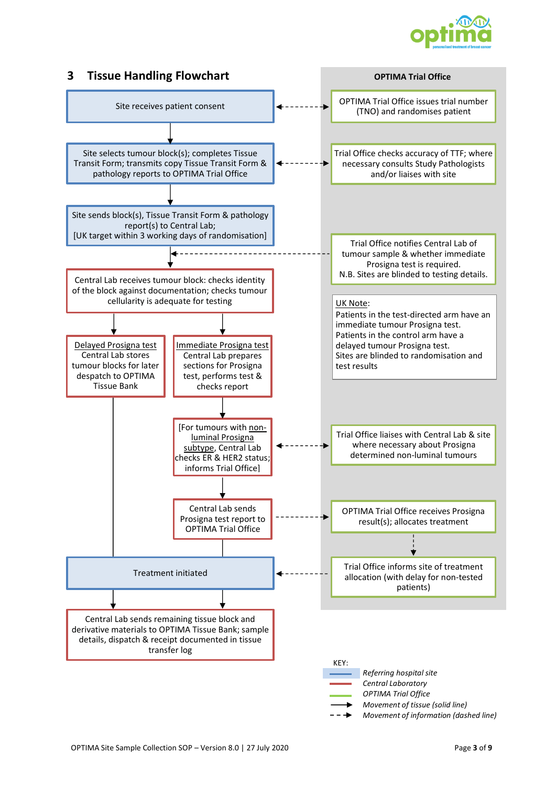

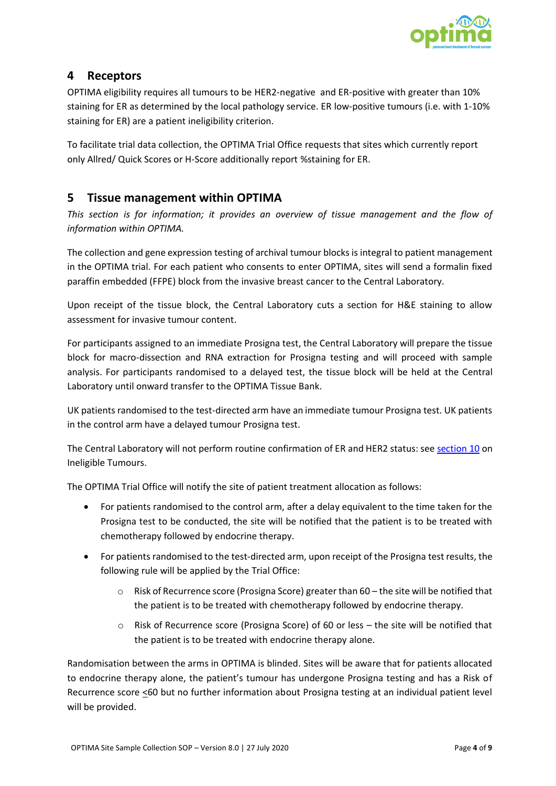

#### **4 Receptors**

OPTIMA eligibility requires all tumours to be HER2-negative and ER-positive with greater than 10% staining for ER as determined by the local pathology service. ER low-positive tumours (i.e. with 1-10% staining for ER) are a patient ineligibility criterion.

To facilitate trial data collection, the OPTIMA Trial Office requests that sites which currently report only Allred/ Quick Scores or H-Score additionally report %staining for ER.

## **5 Tissue management within OPTIMA**

*This section is for information; it provides an overview of tissue management and the flow of information within OPTIMA.*

The collection and gene expression testing of archival tumour blocks is integral to patient management in the OPTIMA trial. For each patient who consents to enter OPTIMA, sites will send a formalin fixed paraffin embedded (FFPE) block from the invasive breast cancer to the Central Laboratory.

Upon receipt of the tissue block, the Central Laboratory cuts a section for H&E staining to allow assessment for invasive tumour content.

For participants assigned to an immediate Prosigna test, the Central Laboratory will prepare the tissue block for macro-dissection and RNA extraction for Prosigna testing and will proceed with sample analysis. For participants randomised to a delayed test, the tissue block will be held at the Central Laboratory until onward transfer to the OPTIMA Tissue Bank.

UK patients randomised to the test-directed arm have an immediate tumour Prosigna test. UK patients in the control arm have a delayed tumour Prosigna test.

The Central Laboratory will not perform routine confirmation of ER and HER2 status: se[e section 10](#page-7-0) on [Ineligible Tumours.](#page-7-0)

The OPTIMA Trial Office will notify the site of patient treatment allocation as follows:

- For patients randomised to the control arm, after a delay equivalent to the time taken for the Prosigna test to be conducted, the site will be notified that the patient is to be treated with chemotherapy followed by endocrine therapy.
- For patients randomised to the test-directed arm, upon receipt of the Prosigna test results, the following rule will be applied by the Trial Office:
	- o Risk of Recurrence score (Prosigna Score) greater than 60 the site will be notified that the patient is to be treated with chemotherapy followed by endocrine therapy.
	- o Risk of Recurrence score (Prosigna Score) of 60 or less the site will be notified that the patient is to be treated with endocrine therapy alone.

Randomisation between the arms in OPTIMA is blinded. Sites will be aware that for patients allocated to endocrine therapy alone, the patient's tumour has undergone Prosigna testing and has a Risk of Recurrence score <60 but no further information about Prosigna testing at an individual patient level will be provided.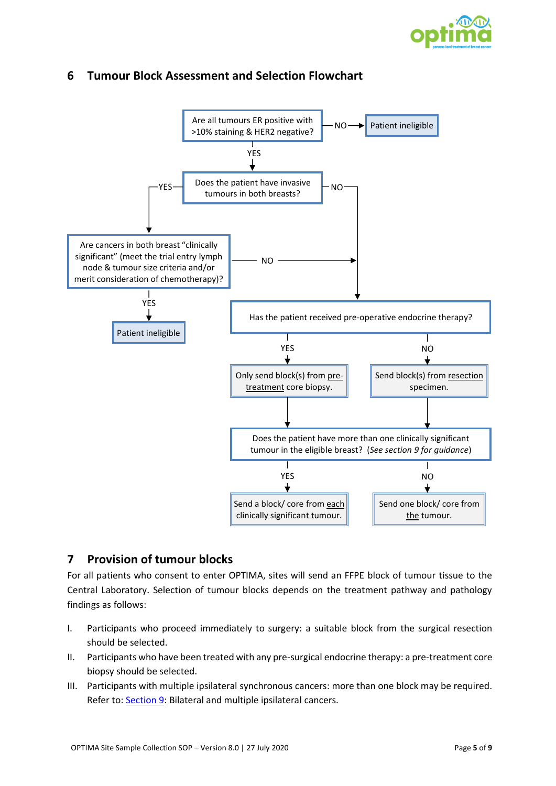



## **6 Tumour Block Assessment and Selection Flowchart**

## **7 Provision of tumour blocks**

For all patients who consent to enter OPTIMA, sites will send an FFPE block of tumour tissue to the Central Laboratory. Selection of tumour blocks depends on the treatment pathway and pathology findings as follows:

- I. Participants who proceed immediately to surgery: a suitable block from the surgical resection should be selected.
- II. Participants who have been treated with any pre-surgical endocrine therapy: a pre-treatment core biopsy should be selected.
- III. Participants with multiple ipsilateral synchronous cancers: more than one block may be required. Refer to: [Section 9:](#page-6-0) [Bilateral and multiple ipsilateral](#page-6-0) cancers.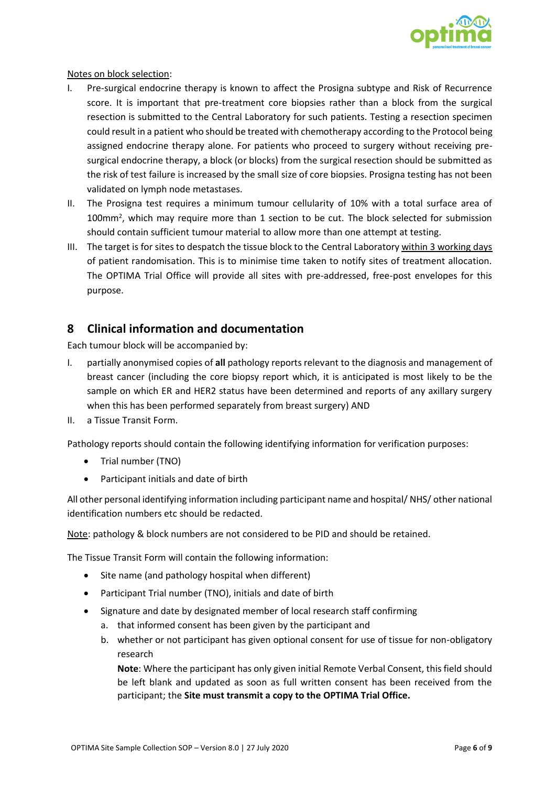

Notes on block selection:

- I. Pre-surgical endocrine therapy is known to affect the Prosigna subtype and Risk of Recurrence score. It is important that pre-treatment core biopsies rather than a block from the surgical resection is submitted to the Central Laboratory for such patients. Testing a resection specimen could result in a patient who should be treated with chemotherapy according to the Protocol being assigned endocrine therapy alone. For patients who proceed to surgery without receiving presurgical endocrine therapy, a block (or blocks) from the surgical resection should be submitted as the risk of test failure is increased by the small size of core biopsies. Prosigna testing has not been validated on lymph node metastases.
- II. The Prosigna test requires a minimum tumour cellularity of 10% with a total surface area of 100mm<sup>2</sup>, which may require more than 1 section to be cut. The block selected for submission should contain sufficient tumour material to allow more than one attempt at testing.
- III. The target is for sites to despatch the tissue block to the Central Laboratory within 3 working days of patient randomisation. This is to minimise time taken to notify sites of treatment allocation. The OPTIMA Trial Office will provide all sites with pre-addressed, free-post envelopes for this purpose.

## **8 Clinical information and documentation**

Each tumour block will be accompanied by:

- I. partially anonymised copies of **all** pathology reports relevant to the diagnosis and management of breast cancer (including the core biopsy report which, it is anticipated is most likely to be the sample on which ER and HER2 status have been determined and reports of any axillary surgery when this has been performed separately from breast surgery) AND
- II. a Tissue Transit Form.

Pathology reports should contain the following identifying information for verification purposes:

- Trial number (TNO)
- Participant initials and date of birth

All other personal identifying information including participant name and hospital/ NHS/ other national identification numbers etc should be redacted.

Note: pathology & block numbers are not considered to be PID and should be retained.

The Tissue Transit Form will contain the following information:

- Site name (and pathology hospital when different)
- Participant Trial number (TNO), initials and date of birth
- Signature and date by designated member of local research staff confirming
	- a. that informed consent has been given by the participant and
	- b. whether or not participant has given optional consent for use of tissue for non-obligatory research

**Note**: Where the participant has only given initial Remote Verbal Consent, this field should be left blank and updated as soon as full written consent has been received from the participant; the **Site must transmit a copy to the OPTIMA Trial Office.**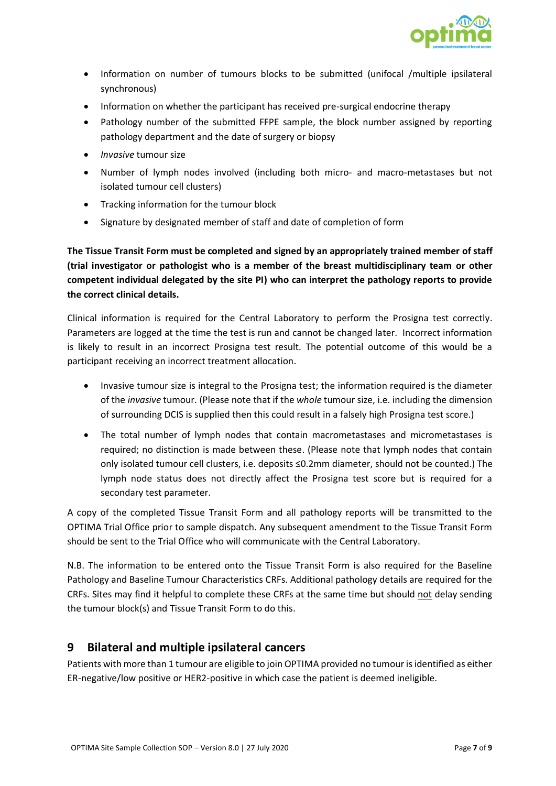

- Information on number of tumours blocks to be submitted (unifocal /multiple ipsilateral synchronous)
- Information on whether the participant has received pre-surgical endocrine therapy
- Pathology number of the submitted FFPE sample, the block number assigned by reporting pathology department and the date of surgery or biopsy
- *Invasive* tumour size
- Number of lymph nodes involved (including both micro- and macro-metastases but not isolated tumour cell clusters)
- Tracking information for the tumour block
- Signature by designated member of staff and date of completion of form

**The Tissue Transit Form must be completed and signed by an appropriately trained member of staff (trial investigator or pathologist who is a member of the breast multidisciplinary team or other competent individual delegated by the site PI) who can interpret the pathology reports to provide the correct clinical details.** 

Clinical information is required for the Central Laboratory to perform the Prosigna test correctly. Parameters are logged at the time the test is run and cannot be changed later. Incorrect information is likely to result in an incorrect Prosigna test result. The potential outcome of this would be a participant receiving an incorrect treatment allocation.

- Invasive tumour size is integral to the Prosigna test; the information required is the diameter of the *invasive* tumour. (Please note that if the *whole* tumour size, i.e. including the dimension of surrounding DCIS is supplied then this could result in a falsely high Prosigna test score.)
- The total number of lymph nodes that contain macrometastases and micrometastases is required; no distinction is made between these. (Please note that lymph nodes that contain only isolated tumour cell clusters, i.e. deposits ≤0.2mm diameter, should not be counted.) The lymph node status does not directly affect the Prosigna test score but is required for a secondary test parameter.

A copy of the completed Tissue Transit Form and all pathology reports will be transmitted to the OPTIMA Trial Office prior to sample dispatch. Any subsequent amendment to the Tissue Transit Form should be sent to the Trial Office who will communicate with the Central Laboratory.

N.B. The information to be entered onto the Tissue Transit Form is also required for the Baseline Pathology and Baseline Tumour Characteristics CRFs. Additional pathology details are required for the CRFs. Sites may find it helpful to complete these CRFs at the same time but should not delay sending the tumour block(s) and Tissue Transit Form to do this.

## <span id="page-6-0"></span>**9 Bilateral and multiple ipsilateral cancers**

Patients with more than 1 tumour are eligible to join OPTIMA provided no tumour is identified as either ER-negative/low positive or HER2-positive in which case the patient is deemed ineligible.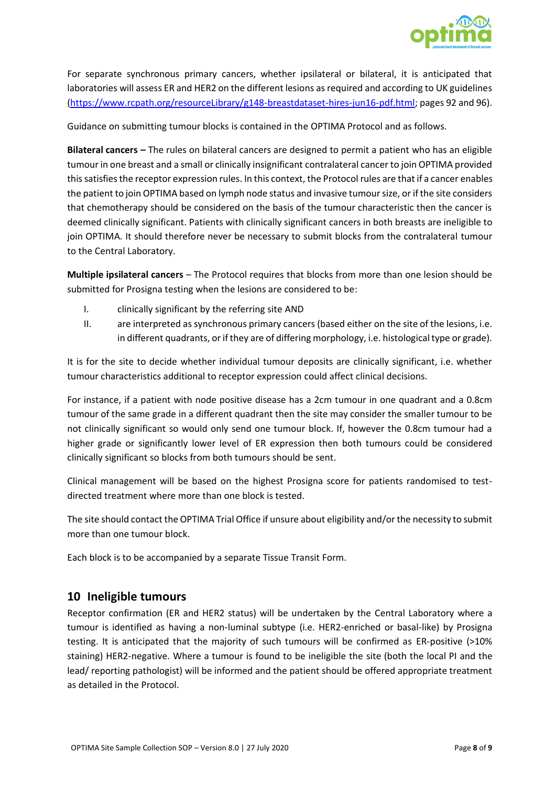

For separate synchronous primary cancers, whether ipsilateral or bilateral, it is anticipated that laboratories will assess ER and HER2 on the different lesions as required and according to UK guidelines [\(https://www.rcpath.org/resourceLibrary/g148-breastdataset-hires-jun16-pdf.html;](https://www.rcpath.org/resourceLibrary/g148-breastdataset-hires-jun16-pdf.html) pages 92 and 96).

Guidance on submitting tumour blocks is contained in the OPTIMA Protocol and as follows.

**Bilateral cancers –** The rules on bilateral cancers are designed to permit a patient who has an eligible tumour in one breast and a small or clinically insignificant contralateral cancer to join OPTIMA provided this satisfies the receptor expression rules. In this context, the Protocol rules are that if a cancer enables the patient to join OPTIMA based on lymph node status and invasive tumour size, or if the site considers that chemotherapy should be considered on the basis of the tumour characteristic then the cancer is deemed clinically significant. Patients with clinically significant cancers in both breasts are ineligible to join OPTIMA. It should therefore never be necessary to submit blocks from the contralateral tumour to the Central Laboratory.

**Multiple ipsilateral cancers** – The Protocol requires that blocks from more than one lesion should be submitted for Prosigna testing when the lesions are considered to be:

- I. clinically significant by the referring site AND
- II. are interpreted as synchronous primary cancers (based either on the site of the lesions, i.e. in different quadrants, or if they are of differing morphology, i.e. histological type or grade).

It is for the site to decide whether individual tumour deposits are clinically significant, i.e. whether tumour characteristics additional to receptor expression could affect clinical decisions.

For instance, if a patient with node positive disease has a 2cm tumour in one quadrant and a 0.8cm tumour of the same grade in a different quadrant then the site may consider the smaller tumour to be not clinically significant so would only send one tumour block. If, however the 0.8cm tumour had a higher grade or significantly lower level of ER expression then both tumours could be considered clinically significant so blocks from both tumours should be sent.

Clinical management will be based on the highest Prosigna score for patients randomised to testdirected treatment where more than one block is tested.

The site should contact the OPTIMA Trial Office if unsure about eligibility and/or the necessity to submit more than one tumour block.

Each block is to be accompanied by a separate Tissue Transit Form.

## <span id="page-7-0"></span>**10 Ineligible tumours**

Receptor confirmation (ER and HER2 status) will be undertaken by the Central Laboratory where a tumour is identified as having a non-luminal subtype (i.e. HER2-enriched or basal-like) by Prosigna testing. It is anticipated that the majority of such tumours will be confirmed as ER-positive (>10% staining) HER2-negative. Where a tumour is found to be ineligible the site (both the local PI and the lead/ reporting pathologist) will be informed and the patient should be offered appropriate treatment as detailed in the Protocol.